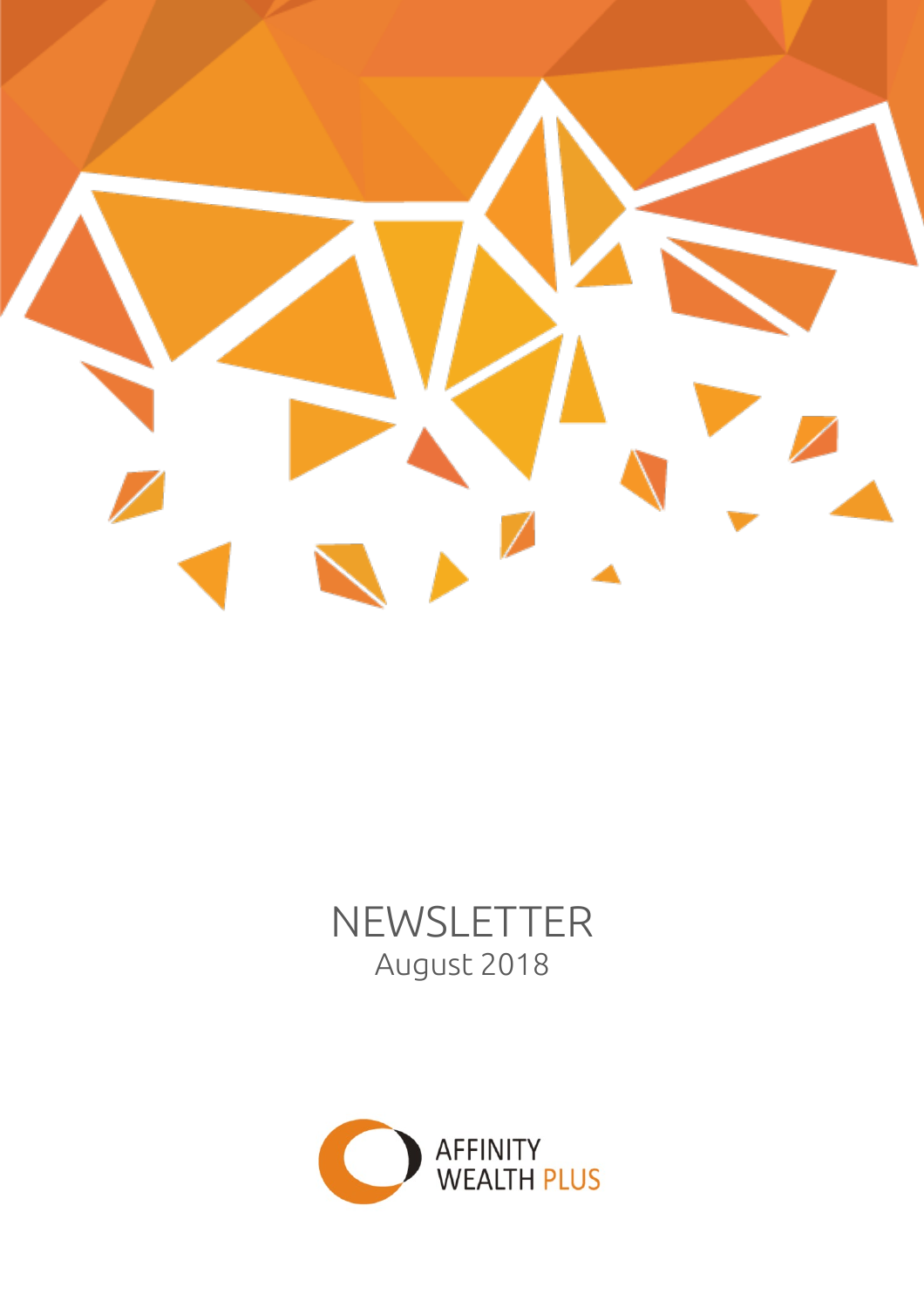

# NEWSLETTER August 2018

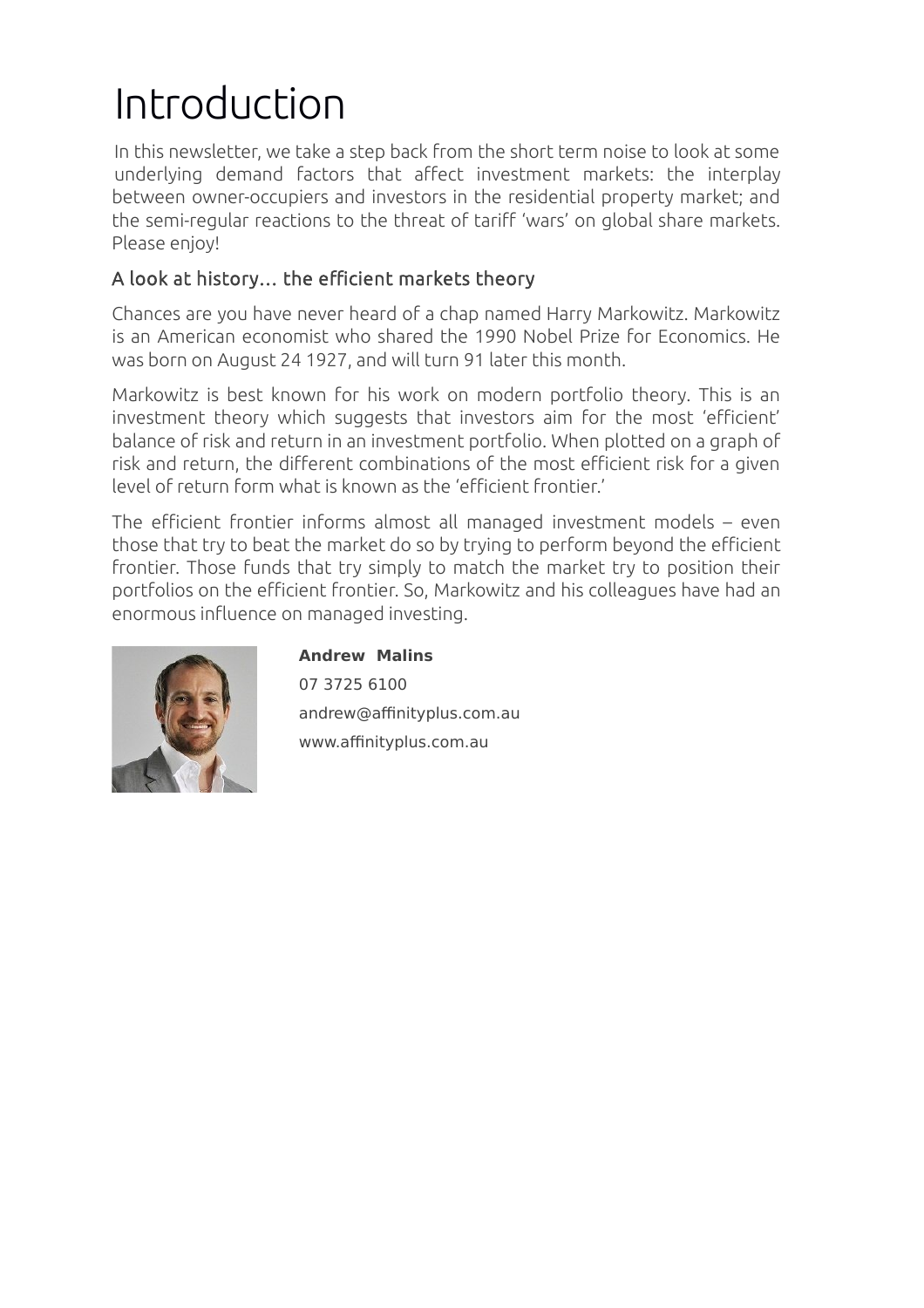# Introduction

In this newsletter, we take a step back from the short term noise to look at some underlying demand factors that affect investment markets: the interplay between owner-occupiers and investors in the residential property market; and the semi-regular reactions to the threat of tariff 'wars' on global share markets. Please enjoy!

#### A look at history… the efficient markets theory

Chances are you have never heard of a chap named Harry Markowitz. Markowitz is an American economist who shared the 1990 Nobel Prize for Economics. He was born on August 24 1927, and will turn 91 later this month.

Markowitz is best known for his work on modern portfolio theory. This is an investment theory which suggests that investors aim for the most 'efficient' balance of risk and return in an investment portfolio. When plotted on a graph of risk and return, the different combinations of the most efficient risk for a given level of return form what is known as the 'efficient frontier.'

The efficient frontier informs almost all managed investment models – even those that try to beat the market do so by trying to perform beyond the efficient frontier. Those funds that try simply to match the market try to position their portfolios on the efficient frontier. So, Markowitz and his colleagues have had an enormous influence on managed investing.



**Andrew Malins** 07 3725 6100 andrew@affinityplus.com.au www.affinityplus.com.au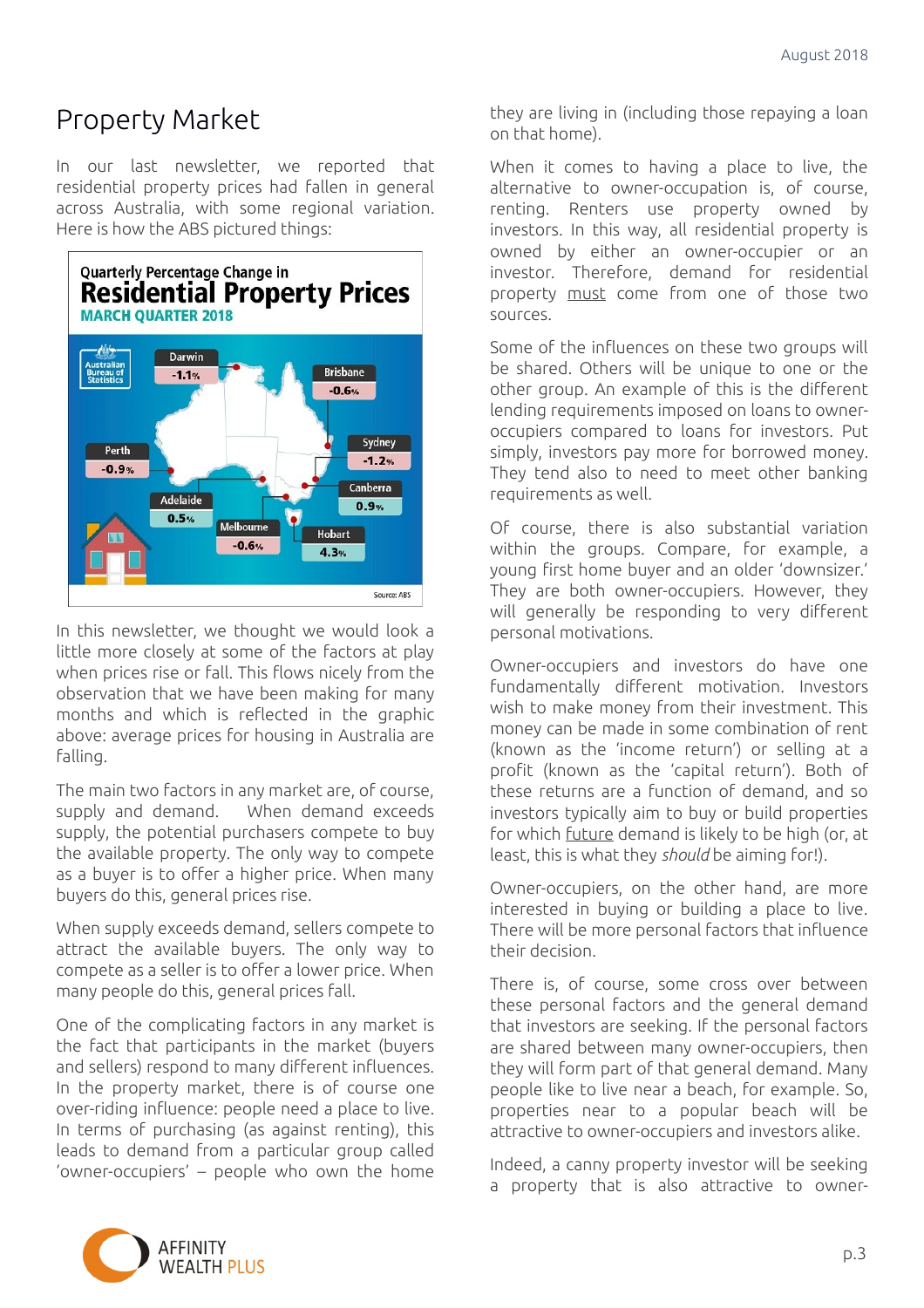## Property Market

In our last newsletter, we reported that residential property prices had fallen in general across Australia, with some regional variation. Here is how the ABS pictured things:



In this newsletter, we thought we would look a little more closely at some of the factors at play when prices rise or fall. This flows nicely from the observation that we have been making for many months and which is reflected in the graphic above: average prices for housing in Australia are falling.

The main two factors in any market are, of course, supply and demand. When demand exceeds supply, the potential purchasers compete to buy the available property. The only way to compete as a buyer is to offer a higher price. When many buyers do this, general prices rise.

When supply exceeds demand, sellers compete to attract the available buyers. The only way to compete as a seller is to offer a lower price. When many people do this, general prices fall.

One of the complicating factors in any market is the fact that participants in the market (buyers and sellers) respond to many different influences. In the property market, there is of course one over-riding influence: people need a place to live. In terms of purchasing (as against renting), this leads to demand from a particular group called 'owner-occupiers' – people who own the home they are living in (including those repaying a loan on that home).

When it comes to having a place to live, the alternative to owner-occupation is, of course, renting. Renters use property owned by investors. In this way, all residential property is owned by either an owner-occupier or an investor. Therefore, demand for residential property must come from one of those two sources.

Some of the influences on these two groups will be shared. Others will be unique to one or the other group. An example of this is the different lending requirements imposed on loans to owneroccupiers compared to loans for investors. Put simply, investors pay more for borrowed money. They tend also to need to meet other banking requirements as well.

Of course, there is also substantial variation within the groups. Compare, for example, a young first home buyer and an older 'downsizer.' They are both owner-occupiers. However, they will generally be responding to very different personal motivations.

Owner-occupiers and investors do have one fundamentally different motivation. Investors wish to make money from their investment. This money can be made in some combination of rent (known as the 'income return') or selling at a profit (known as the 'capital return'). Both of these returns are a function of demand, and so investors typically aim to buy or build properties for which future demand is likely to be high (or, at least, this is what they *should* be aiming for!).

Owner-occupiers, on the other hand, are more interested in buying or building a place to live. There will be more personal factors that influence their decision.

There is, of course, some cross over between these personal factors and the general demand that investors are seeking. If the personal factors are shared between many owner-occupiers, then they will form part of that general demand. Many people like to live near a beach, for example. So, properties near to a popular beach will be attractive to owner-occupiers and investors alike.

Indeed, a canny property investor will be seeking a property that is also attractive to owner-

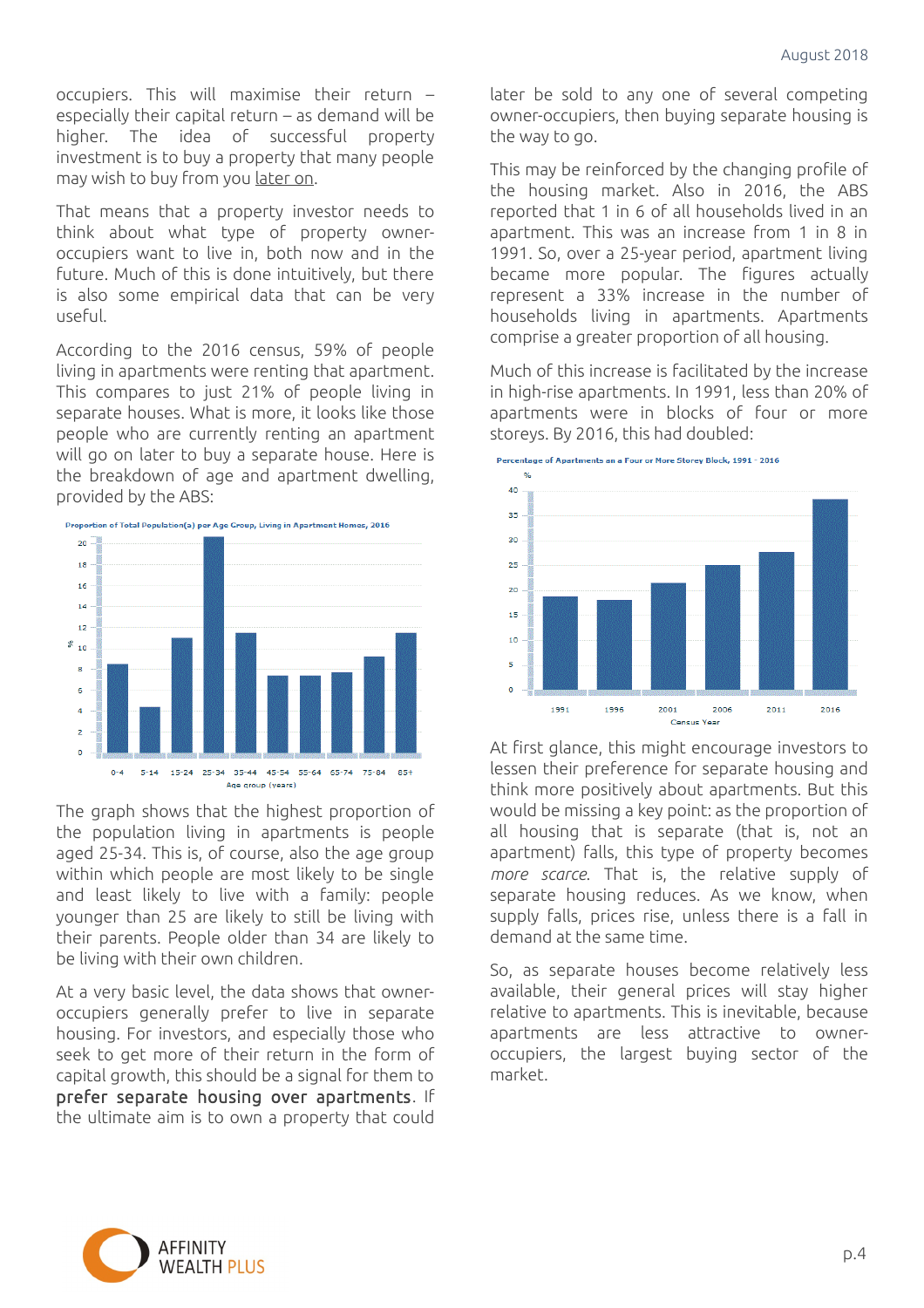occupiers. This will maximise their return – especially their capital return – as demand will be higher. The idea of successful property investment is to buy a property that many people may wish to buy from you later on.

That means that a property investor needs to think about what type of property owneroccupiers want to live in, both now and in the future. Much of this is done intuitively, but there is also some empirical data that can be very useful.

According to the 2016 census, 59% of people living in apartments were renting that apartment. This compares to just 21% of people living in separate houses. What is more, it looks like those people who are currently renting an apartment will go on later to buy a separate house. Here is the breakdown of age and apartment dwelling, provided by the ABS:



The graph shows that the highest proportion of the population living in apartments is people aged 25-34. This is, of course, also the age group within which people are most likely to be single and least likely to live with a family: people younger than 25 are likely to still be living with their parents. People older than 34 are likely to be living with their own children.

At a very basic level, the data shows that owneroccupiers generally prefer to live in separate housing. For investors, and especially those who seek to get more of their return in the form of capital growth, this should be a signal for them to prefer separate housing over apartments. If the ultimate aim is to own a property that could

later be sold to any one of several competing owner-occupiers, then buying separate housing is the way to go.

This may be reinforced by the changing profile of the housing market. Also in 2016, the ABS reported that 1 in 6 of all households lived in an apartment. This was an increase from 1 in 8 in 1991. So, over a 25-year period, apartment living became more popular. The figures actually represent a 33% increase in the number of households living in apartments. Apartments comprise a greater proportion of all housing.

Much of this increase is facilitated by the increase in high-rise apartments. In 1991, less than 20% of apartments were in blocks of four or more storeys. By 2016, this had doubled:





At first glance, this might encourage investors to lessen their preference for separate housing and think more positively about apartments. But this would be missing a key point: as the proportion of all housing that is separate (that is, not an apartment) falls, this type of property becomes *more scarce*. That is, the relative supply of separate housing reduces. As we know, when supply falls, prices rise, unless there is a fall in demand at the same time.

So, as separate houses become relatively less available, their general prices will stay higher relative to apartments. This is inevitable, because apartments are less attractive to owneroccupiers, the largest buying sector of the market.

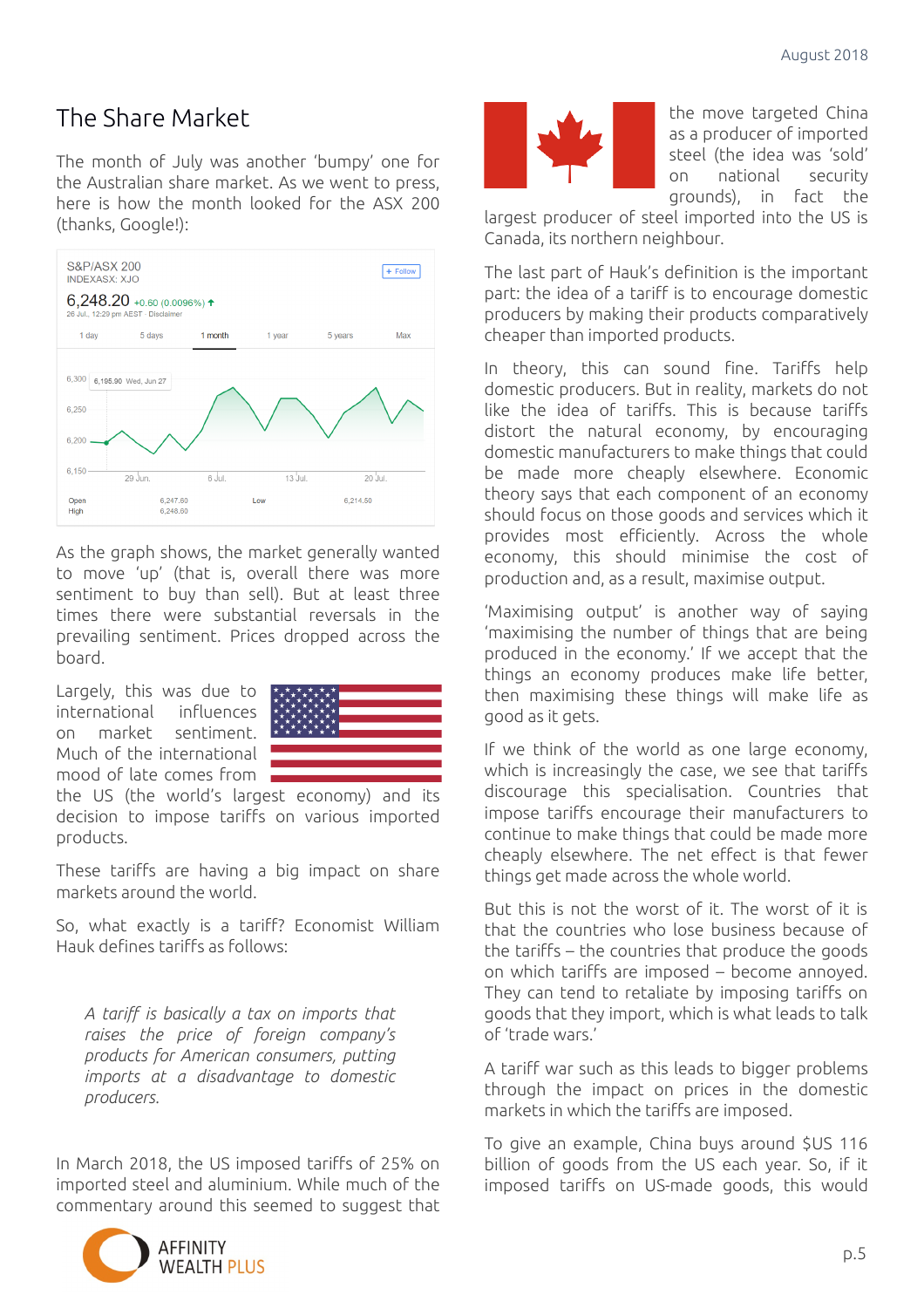### The Share Market

The month of July was another 'bumpy' one for the Australian share market. As we went to press, here is how the month looked for the ASX 200 (thanks, Google!):



As the graph shows, the market generally wanted to move 'up' (that is, overall there was more sentiment to buy than sell). But at least three times there were substantial reversals in the prevailing sentiment. Prices dropped across the board.

Largely, this was due to international influences on market sentiment. Much of the international mood of late comes from



the US (the world's largest economy) and its decision to impose tariffs on various imported products.

These tariffs are having a big impact on share markets around the world.

So, what exactly is a tariff? Economist William Hauk defines tariffs as follows:

*A tariff is basically a tax on imports that raises the price of foreign company's products for American consumers, putting imports at a disadvantage to domestic producers.*

In March 2018, the US imposed tariffs of 25% on imported steel and aluminium. While much of the commentary around this seemed to suggest that





the move targeted China as a producer of imported steel (the idea was 'sold' on national security grounds), in fact the

largest producer of steel imported into the US is Canada, its northern neighbour.

The last part of Hauk's definition is the important part: the idea of a tariff is to encourage domestic producers by making their products comparatively cheaper than imported products.

In theory, this can sound fine. Tariffs help domestic producers. But in reality, markets do not like the idea of tariffs. This is because tariffs distort the natural economy, by encouraging domestic manufacturers to make things that could be made more cheaply elsewhere. Economic theory says that each component of an economy should focus on those goods and services which it provides most efficiently. Across the whole economy, this should minimise the cost of production and, as a result, maximise output.

'Maximising output' is another way of saying 'maximising the number of things that are being produced in the economy.' If we accept that the things an economy produces make life better, then maximising these things will make life as good as it gets.

If we think of the world as one large economy, which is increasingly the case, we see that tariffs discourage this specialisation. Countries that impose tariffs encourage their manufacturers to continue to make things that could be made more cheaply elsewhere. The net effect is that fewer things get made across the whole world.

But this is not the worst of it. The worst of it is that the countries who lose business because of the tariffs – the countries that produce the goods on which tariffs are imposed – become annoyed. They can tend to retaliate by imposing tariffs on goods that they import, which is what leads to talk of 'trade wars.'

A tariff war such as this leads to bigger problems through the impact on prices in the domestic markets in which the tariffs are imposed.

To give an example, China buys around \$US 116 billion of goods from the US each year. So, if it imposed tariffs on US-made goods, this would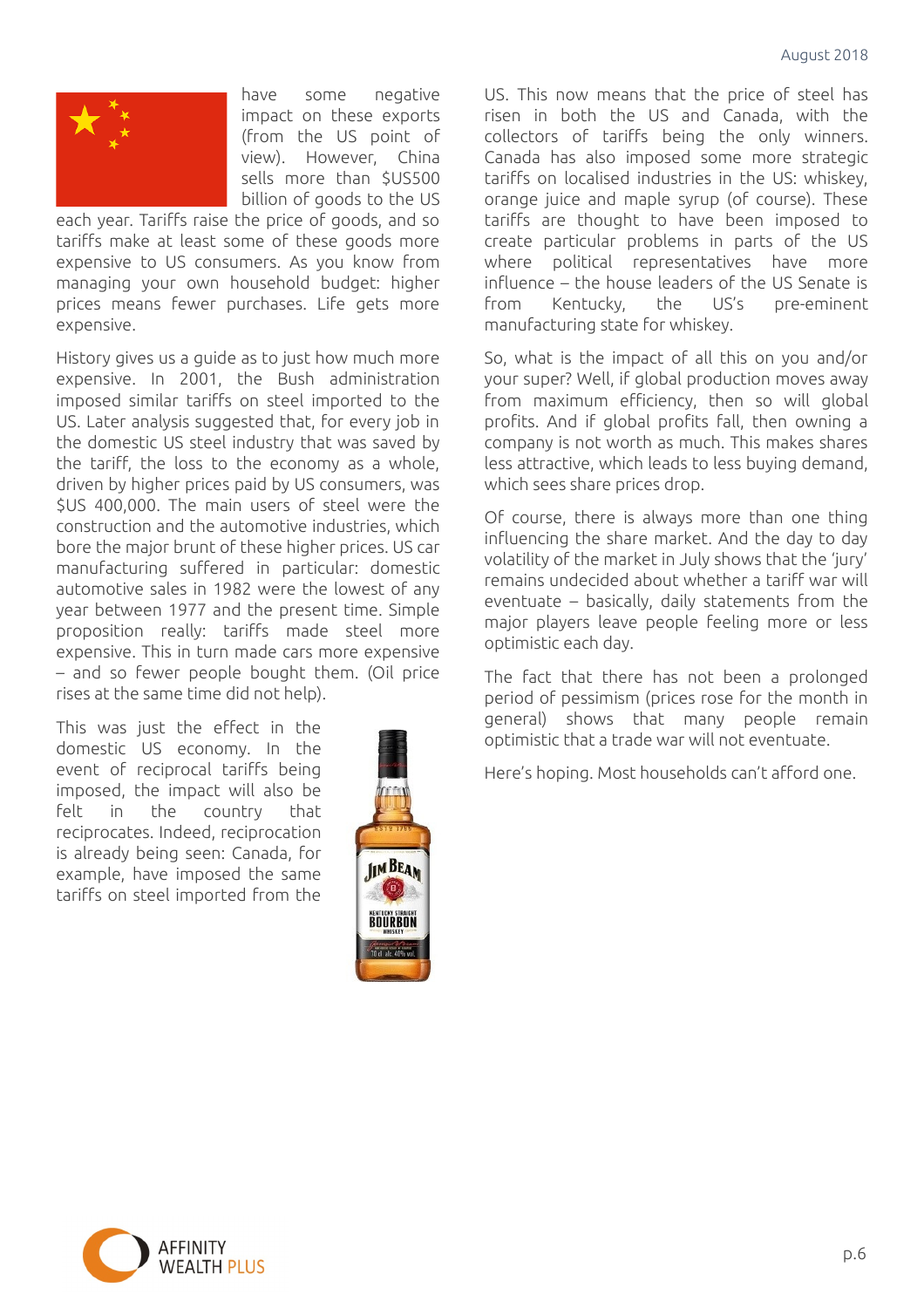

have some negative impact on these exports (from the US point of view). However, China sells more than \$US500 billion of goods to the US

each year. Tariffs raise the price of goods, and so tariffs make at least some of these goods more expensive to US consumers. As you know from managing your own household budget: higher prices means fewer purchases. Life gets more expensive.

History gives us a guide as to just how much more expensive. In 2001, the Bush administration imposed similar tariffs on steel imported to the US. Later analysis suggested that, for every job in the domestic US steel industry that was saved by the tariff, the loss to the economy as a whole, driven by higher prices paid by US consumers, was \$US 400,000. The main users of steel were the construction and the automotive industries, which bore the major brunt of these higher prices. US car manufacturing suffered in particular: domestic automotive sales in 1982 were the lowest of any year between 1977 and the present time. Simple proposition really: tariffs made steel more expensive. This in turn made cars more expensive – and so fewer people bought them. (Oil price rises at the same time did not help).

This was just the effect in the domestic US economy. In the event of reciprocal tariffs being imposed, the impact will also be felt in the country that reciprocates. Indeed, reciprocation is already being seen: Canada, for example, have imposed the same tariffs on steel imported from the



US. This now means that the price of steel has risen in both the US and Canada, with the collectors of tariffs being the only winners. Canada has also imposed some more strategic tariffs on localised industries in the US: whiskey, orange juice and maple syrup (of course). These tariffs are thought to have been imposed to create particular problems in parts of the US where political representatives have more influence – the house leaders of the US Senate is from Kentucky, the US's pre-eminent manufacturing state for whiskey.

So, what is the impact of all this on you and/or your super? Well, if global production moves away from maximum efficiency, then so will global profits. And if global profits fall, then owning a company is not worth as much. This makes shares less attractive, which leads to less buying demand, which sees share prices drop.

Of course, there is always more than one thing influencing the share market. And the day to day volatility of the market in July shows that the 'jury' remains undecided about whether a tariff war will eventuate – basically, daily statements from the major players leave people feeling more or less optimistic each day.

The fact that there has not been a prolonged period of pessimism (prices rose for the month in general) shows that many people remain optimistic that a trade war will not eventuate.

Here's hoping. Most households can't afford one.